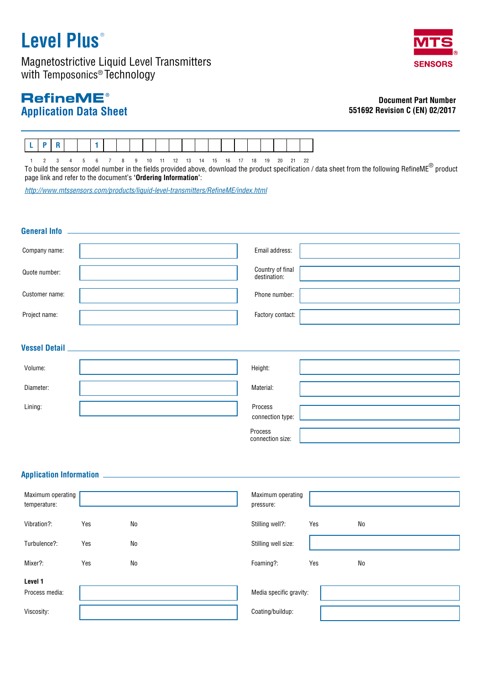# **Level Plus** ®

Magnetostrictive Liquid Level Transmitters with Temposonics® Technology

## **Application Data Sheet RefineME®**

### **Document Part Number 551692 Revision C (EN) 02/2017**



1 2 3 4 5 6 7 8 9 10 11 12 13 14 15 16 17 18 19 20 21 22 To build the sensor model number in the fields provided above, download the product specification / data sheet from the following RefineME® product

page link and refer to the document's **'Ordering Information'**:

*http://www.mtssensors.com/products/liquid-level-transmitters/RefineME/index.html*

| <b>General Info</b>               |     |                                                              |                                    |
|-----------------------------------|-----|--------------------------------------------------------------|------------------------------------|
| Company name:                     |     |                                                              | Email address:                     |
| Quote number:                     |     |                                                              | Country of final<br>destination:   |
| Customer name:                    |     |                                                              | Phone number:                      |
| Project name:                     |     |                                                              | Factory contact:                   |
| <b>Vessel Detail</b>              |     |                                                              |                                    |
| Volume:                           |     |                                                              | Height:                            |
| Diameter:                         |     |                                                              | Material:                          |
| Lining:                           |     |                                                              | Process<br>connection type:        |
|                                   |     |                                                              | Process<br>connection size:        |
|                                   |     |                                                              |                                    |
| <b>Application Information</b>    |     | <u> 1990 - Johann John Harry Barnett, fransk politiker (</u> |                                    |
| Maximum operating<br>temperature: |     |                                                              | Maximum operating<br>pressure:     |
| Vibration?:                       | Yes | N <sub>0</sub>                                               | Stilling well?:<br>Yes<br>No       |
| Turbulence?:                      | Yes | N <sub>0</sub>                                               | Stilling well size:                |
| Mixer?:                           | Yes | No                                                           | Foaming?:<br>N <sub>o</sub><br>Yes |
| Level 1<br>Process media:         |     |                                                              | Media specific gravity:            |
| Viscosity:                        |     |                                                              | Coating/buildup:                   |

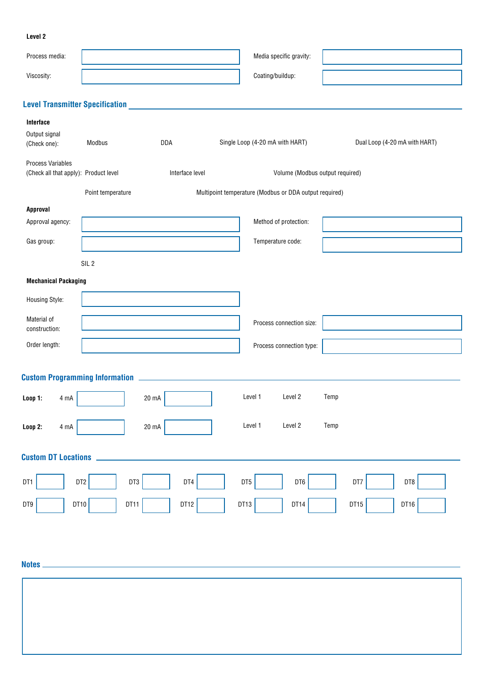#### **Level 2**

| Process media:                                              |                                                    | Media specific gravity:                                |                               |  |  |  |
|-------------------------------------------------------------|----------------------------------------------------|--------------------------------------------------------|-------------------------------|--|--|--|
| Viscosity:                                                  |                                                    | Coating/buildup:                                       |                               |  |  |  |
|                                                             |                                                    |                                                        |                               |  |  |  |
| <b>Level Transmitter Specification</b>                      | <u> 1989 - John Stein, Amerikaansk politiker (</u> |                                                        |                               |  |  |  |
| Interface                                                   |                                                    |                                                        |                               |  |  |  |
| Output signal<br>(Check one):                               | Modbus<br>DDA                                      | Single Loop (4-20 mA with HART)                        | Dual Loop (4-20 mA with HART) |  |  |  |
| Process Variables<br>(Check all that apply): Product level  | Interface level                                    | Volume (Modbus output required)                        |                               |  |  |  |
|                                                             | Point temperature                                  | Multipoint temperature (Modbus or DDA output required) |                               |  |  |  |
| Approval                                                    |                                                    |                                                        |                               |  |  |  |
| Approval agency:                                            |                                                    | Method of protection:                                  |                               |  |  |  |
| Gas group:                                                  |                                                    | Temperature code:                                      |                               |  |  |  |
|                                                             | SIL <sub>2</sub>                                   |                                                        |                               |  |  |  |
| <b>Mechanical Packaging</b>                                 |                                                    |                                                        |                               |  |  |  |
| Housing Style:                                              |                                                    |                                                        |                               |  |  |  |
|                                                             |                                                    |                                                        |                               |  |  |  |
| Material of<br>construction:                                |                                                    | Process connection size:                               |                               |  |  |  |
| Order length:                                               |                                                    | Process connection type:                               |                               |  |  |  |
|                                                             |                                                    |                                                        |                               |  |  |  |
|                                                             |                                                    |                                                        |                               |  |  |  |
| Loop 1:<br>4 mA                                             | 20 mA                                              | Level 1<br>Level 2                                     | Temp                          |  |  |  |
| Loop 2:<br>$4 \text{ mA}$                                   | 20 mA                                              | Level 1<br>Level 2                                     | Temp                          |  |  |  |
| <b>Custom DT Locations</b>                                  |                                                    |                                                        |                               |  |  |  |
| DT1<br>DT2                                                  | DT3<br>DT4                                         | DT6<br>DT5                                             | DT7<br>DT8                    |  |  |  |
| DT10<br>DT11<br>DT12<br>DT13<br>DT14<br>DT15<br>DT9<br>DT16 |                                                    |                                                        |                               |  |  |  |
|                                                             |                                                    |                                                        |                               |  |  |  |
|                                                             |                                                    |                                                        |                               |  |  |  |
| Notes <sub>-</sub>                                          |                                                    |                                                        |                               |  |  |  |
|                                                             |                                                    |                                                        |                               |  |  |  |